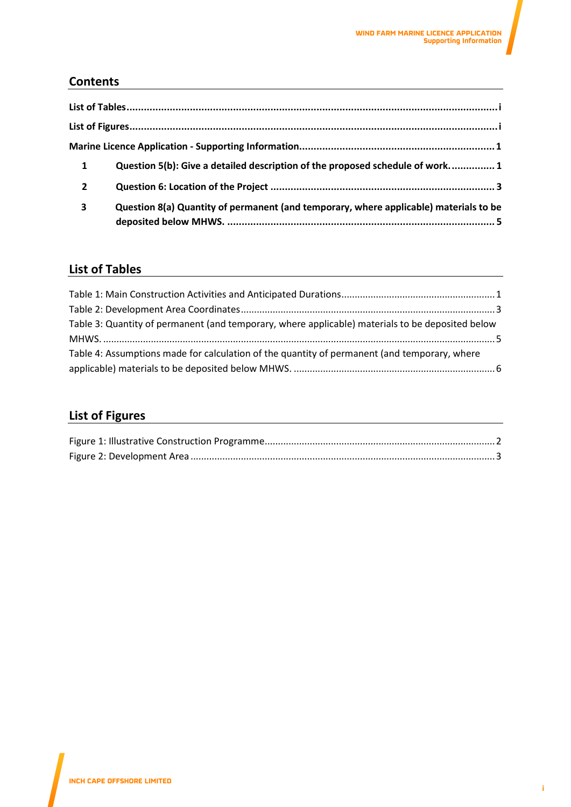## **Contents**

| $\mathbf{1}$   | Question 5(b): Give a detailed description of the proposed schedule of work 1         |
|----------------|---------------------------------------------------------------------------------------|
| $\overline{2}$ |                                                                                       |
| 3              | Question 8(a) Quantity of permanent (and temporary, where applicable) materials to be |

## <span id="page-0-0"></span>**List of Tables**

| Table 3: Quantity of permanent (and temporary, where applicable) materials to be deposited below |  |
|--------------------------------------------------------------------------------------------------|--|
|                                                                                                  |  |
| Table 4: Assumptions made for calculation of the quantity of permanent (and temporary, where     |  |
|                                                                                                  |  |

# <span id="page-0-1"></span>**List of Figures**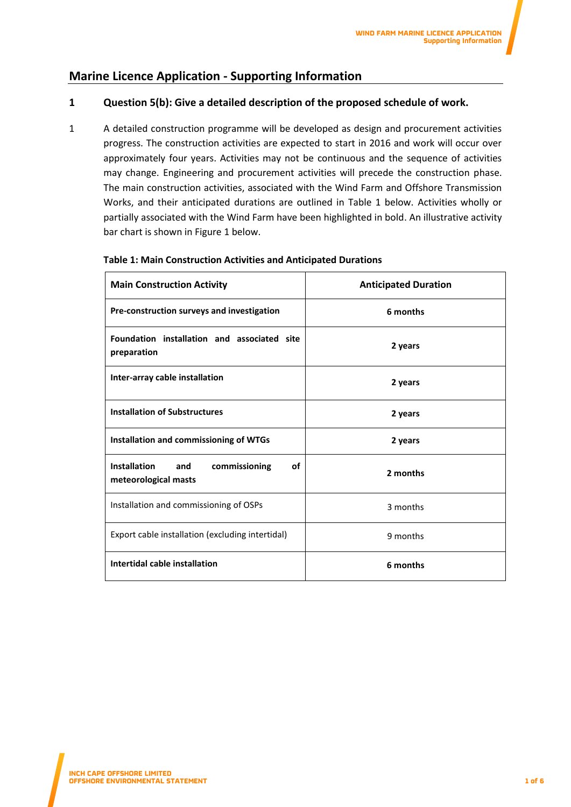## <span id="page-1-0"></span>**Marine Licence Application - Supporting Information**

### <span id="page-1-1"></span>**1 Question 5(b): Give a detailed description of the proposed schedule of work.**

1 A detailed construction programme will be developed as design and procurement activities progress. The construction activities are expected to start in 2016 and work will occur over approximately four years. Activities may not be continuous and the sequence of activities may change. Engineering and procurement activities will precede the construction phase. The main construction activities, associated with the Wind Farm and Offshore Transmission Works, and their anticipated durations are outlined in Table 1 below. Activities wholly or partially associated with the Wind Farm have been highlighted in bold. An illustrative activity bar chart is shown in Figure 1 below.

| <b>Main Construction Activity</b>                                         | <b>Anticipated Duration</b> |  |
|---------------------------------------------------------------------------|-----------------------------|--|
| Pre-construction surveys and investigation                                | 6 months                    |  |
| Foundation installation and associated site<br>preparation                | 2 years                     |  |
| Inter-array cable installation                                            | 2 years                     |  |
| <b>Installation of Substructures</b>                                      | 2 years                     |  |
| Installation and commissioning of WTGs                                    | 2 years                     |  |
| <b>Installation</b><br>of<br>and<br>commissioning<br>meteorological masts | 2 months                    |  |
| Installation and commissioning of OSPs                                    | 3 months                    |  |
| Export cable installation (excluding intertidal)                          | 9 months                    |  |
| Intertidal cable installation                                             | 6 months                    |  |

#### <span id="page-1-2"></span>**Table 1: Main Construction Activities and Anticipated Durations**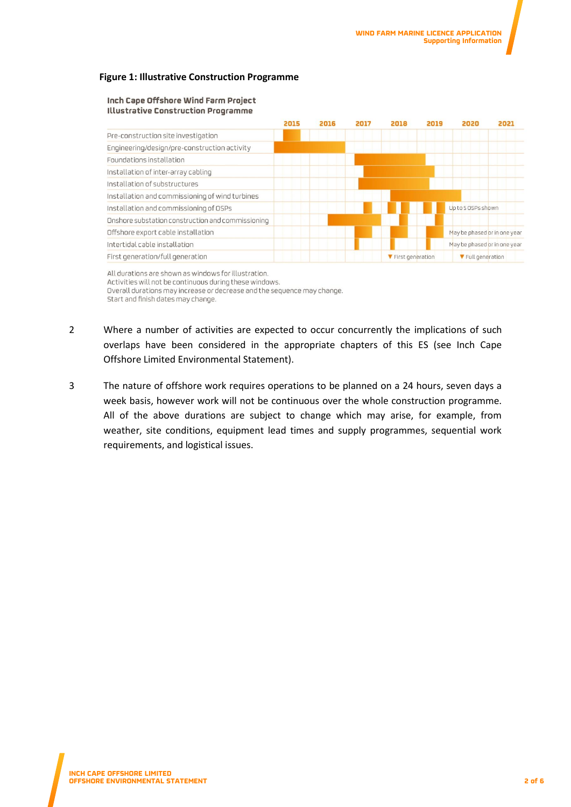#### <span id="page-2-0"></span>**Figure 1: Illustrative Construction Programme**

#### Inch Cape Offshore Wind Farm Project Illustrative Construction Programme



All durations are shown as windows for illustration. Activities will not be continuous during these windows. Overall durations may increase or decrease and the sequence may change. Start and finish dates may change.

- 2 Where a number of activities are expected to occur concurrently the implications of such overlaps have been considered in the appropriate chapters of this ES (see Inch Cape Offshore Limited Environmental Statement).
- 3 The nature of offshore work requires operations to be planned on a 24 hours, seven days a week basis, however work will not be continuous over the whole construction programme. All of the above durations are subject to change which may arise, for example, from weather, site conditions, equipment lead times and supply programmes, sequential work requirements, and logistical issues.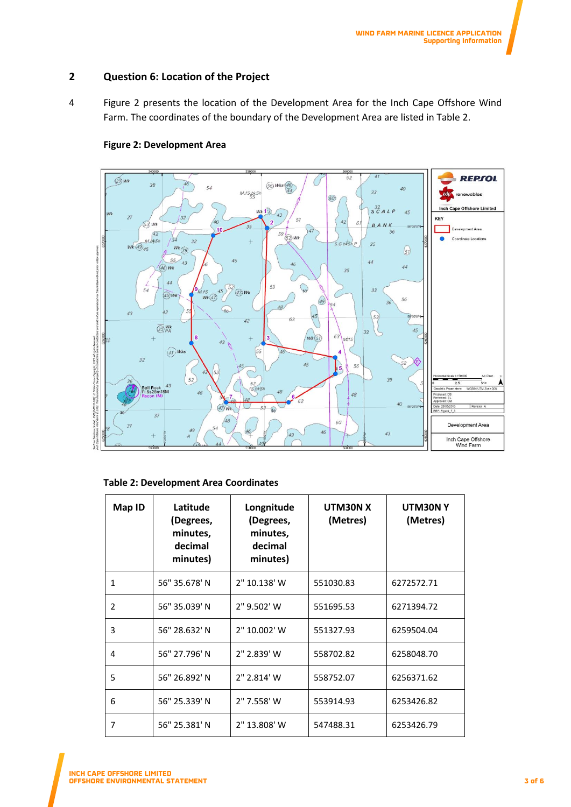#### <span id="page-3-0"></span>**2 Question 6: Location of the Project**

4 Figure 2 presents the location of the Development Area for the Inch Cape Offshore Wind Farm. The coordinates of the boundary of the Development Area are listed in Table 2.

<span id="page-3-2"></span>

### **Figure 2: Development Area**

#### <span id="page-3-1"></span>**Table 2: Development Area Coordinates**

| Map ID         | Latitude<br>(Degrees,<br>minutes,<br>decimal<br>minutes) | Longnitude<br>(Degrees,<br>minutes,<br>decimal<br>minutes) | UTM30N X<br>(Metres) | UTM30NY<br>(Metres) |
|----------------|----------------------------------------------------------|------------------------------------------------------------|----------------------|---------------------|
| $\mathbf{1}$   | 56" 35.678' N                                            | 2" 10.138' W                                               | 551030.83            | 6272572.71          |
| $\overline{2}$ | 56" 35.039' N                                            | 2" 9.502' W                                                | 551695.53            | 6271394.72          |
| 3              | 56" 28.632' N                                            | 2" 10.002' W                                               | 551327.93            | 6259504.04          |
| 4              | 56" 27.796' N                                            | 2" 2.839' W                                                | 558702.82            | 6258048.70          |
| 5              | 56" 26.892' N                                            | 2" 2.814' W                                                | 558752.07            | 6256371.62          |
| 6              | 56" 25.339' N                                            | 2" 7.558' W                                                | 553914.93            | 6253426.82          |
| 7              | 56" 25.381' N                                            | 2" 13.808' W                                               | 547488.31            | 6253426.79          |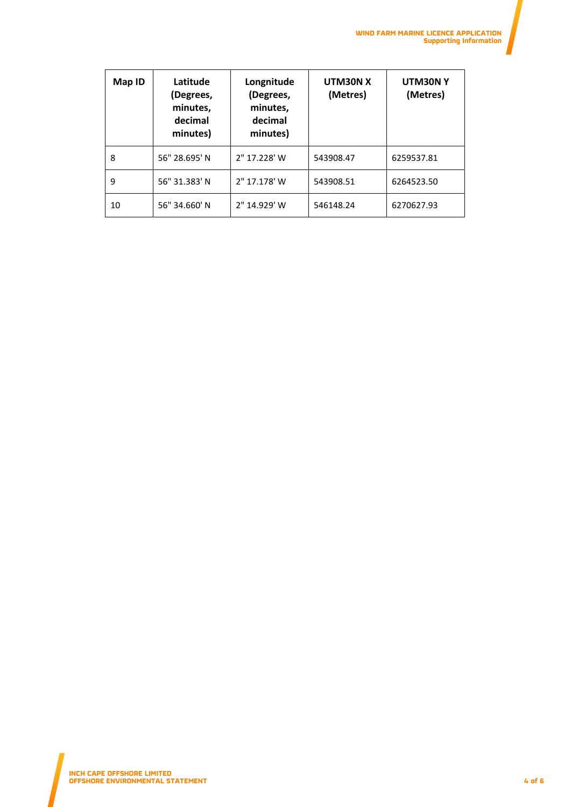| Map ID | Latitude<br>(Degrees,<br>minutes,<br>decimal<br>minutes) | Longnitude<br>(Degrees,<br>minutes,<br>decimal<br>minutes) | UTM30N X<br>(Metres) | UTM30NY<br>(Metres) |
|--------|----------------------------------------------------------|------------------------------------------------------------|----------------------|---------------------|
| 8      | 56" 28.695' N                                            | 2" 17.228' W                                               | 543908.47            | 6259537.81          |
| 9      | 56" 31.383' N                                            | 2" 17.178' W                                               | 543908.51            | 6264523.50          |
| 10     | 56" 34.660' N                                            | 2" 14.929' W                                               | 546148.24            | 6270627.93          |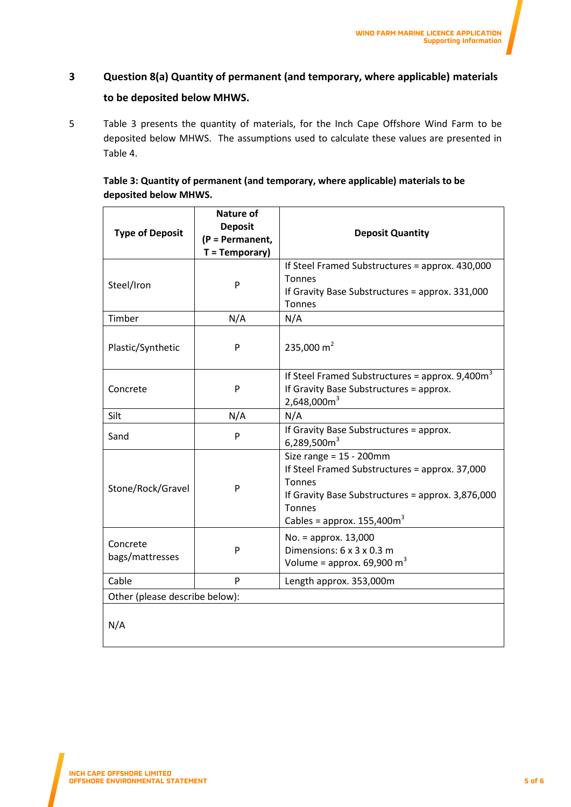# <span id="page-5-0"></span>**3 Question 8(a) Quantity of permanent (and temporary, where applicable) materials to be deposited below MHWS.**

5 Table 3 presents the quantity of materials, for the Inch Cape Offshore Wind Farm to be deposited below MHWS. The assumptions used to calculate these values are presented in Table 4.

### <span id="page-5-1"></span>**Table 3: Quantity of permanent (and temporary, where applicable) materials to be deposited below MHWS.**

| <b>Type of Deposit</b>         | <b>Nature of</b><br><b>Deposit</b><br>(P = Permanent,<br>$T = Temporary$ | <b>Deposit Quantity</b>                                                                                                                                                                       |  |
|--------------------------------|--------------------------------------------------------------------------|-----------------------------------------------------------------------------------------------------------------------------------------------------------------------------------------------|--|
| Steel/Iron                     | P                                                                        | If Steel Framed Substructures = approx. 430,000<br>Tonnes<br>If Gravity Base Substructures = approx. 331,000<br>Tonnes                                                                        |  |
| Timber                         | N/A                                                                      | N/A                                                                                                                                                                                           |  |
| Plastic/Synthetic              | P                                                                        | 235,000 $m2$                                                                                                                                                                                  |  |
| Concrete                       | P                                                                        | If Steel Framed Substructures = approx. $9,400m3$<br>If Gravity Base Substructures = approx.<br>2,648,000m <sup>3</sup>                                                                       |  |
| Silt                           | N/A                                                                      | N/A                                                                                                                                                                                           |  |
| Sand                           | P                                                                        | If Gravity Base Substructures = approx.<br>6,289,500 $m3$                                                                                                                                     |  |
| Stone/Rock/Gravel              | P                                                                        | Size range = $15 - 200$ mm<br>If Steel Framed Substructures = approx. 37,000<br><b>Tonnes</b><br>If Gravity Base Substructures = approx. 3,876,000<br>Tonnes<br>Cables = approx. $155,400m^3$ |  |
| Concrete<br>bags/mattresses    | P                                                                        | $No. =$ approx. 13,000<br>Dimensions: 6 x 3 x 0.3 m<br>Volume = approx. $69,900 \text{ m}^3$                                                                                                  |  |
| Cable                          | P                                                                        | Length approx. 353,000m                                                                                                                                                                       |  |
| Other (please describe below): |                                                                          |                                                                                                                                                                                               |  |
| N/A                            |                                                                          |                                                                                                                                                                                               |  |